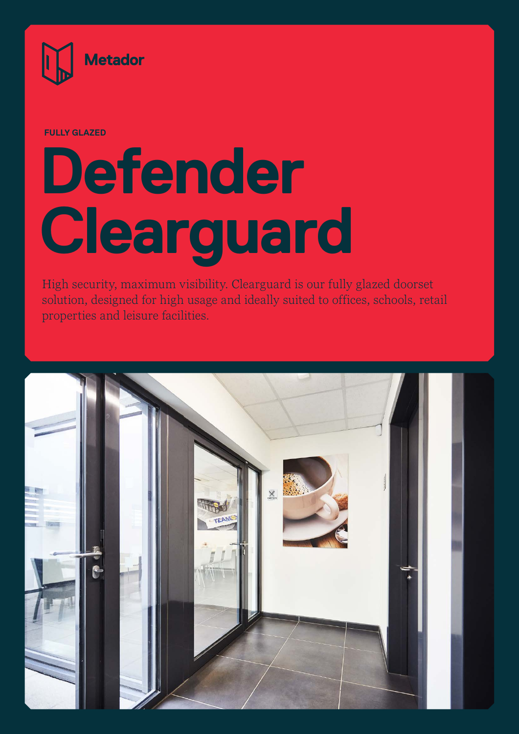

**FULLY GLAZED**

## **Defender Clearguard**

High security, maximum visibility. Clearguard is our fully glazed doorset solution, designed for high usage and ideally suited to offices, schools, retail properties and leisure facilities.